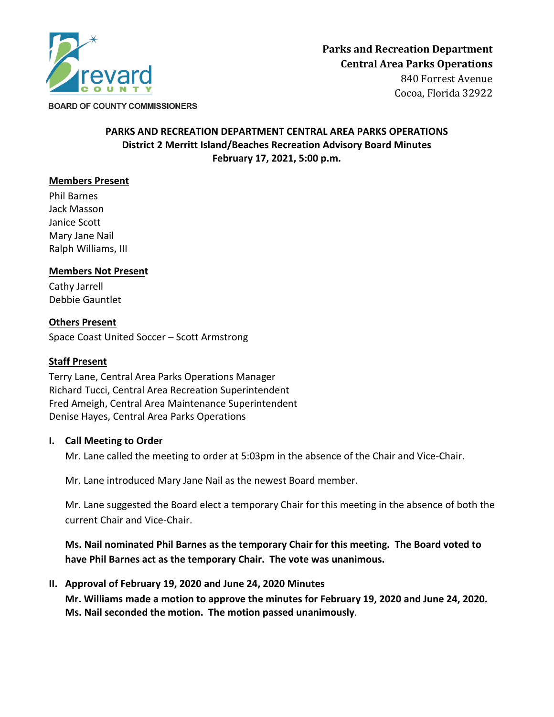

**BOARD OF COUNTY COMMISSIONERS** 

# **PARKS AND RECREATION DEPARTMENT CENTRAL AREA PARKS OPERATIONS District 2 Merritt Island/Beaches Recreation Advisory Board Minutes February 17, 2021, 5:00 p.m.**

#### **Members Present**

Phil Barnes Jack Masson Janice Scott Mary Jane Nail Ralph Williams, III

#### **Members Not Present**

Cathy Jarrell Debbie Gauntlet

**Others Present** Space Coast United Soccer – Scott Armstrong

### **Staff Present**

Terry Lane, Central Area Parks Operations Manager Richard Tucci, Central Area Recreation Superintendent Fred Ameigh, Central Area Maintenance Superintendent Denise Hayes, Central Area Parks Operations

#### **I. Call Meeting to Order**

Mr. Lane called the meeting to order at 5:03pm in the absence of the Chair and Vice-Chair.

Mr. Lane introduced Mary Jane Nail as the newest Board member.

Mr. Lane suggested the Board elect a temporary Chair for this meeting in the absence of both the current Chair and Vice-Chair.

**Ms. Nail nominated Phil Barnes as the temporary Chair for this meeting. The Board voted to have Phil Barnes act as the temporary Chair. The vote was unanimous.** 

#### **II. Approval of February 19, 2020 and June 24, 2020 Minutes**

**Mr. Williams made a motion to approve the minutes for February 19, 2020 and June 24, 2020. Ms. Nail seconded the motion. The motion passed unanimously**.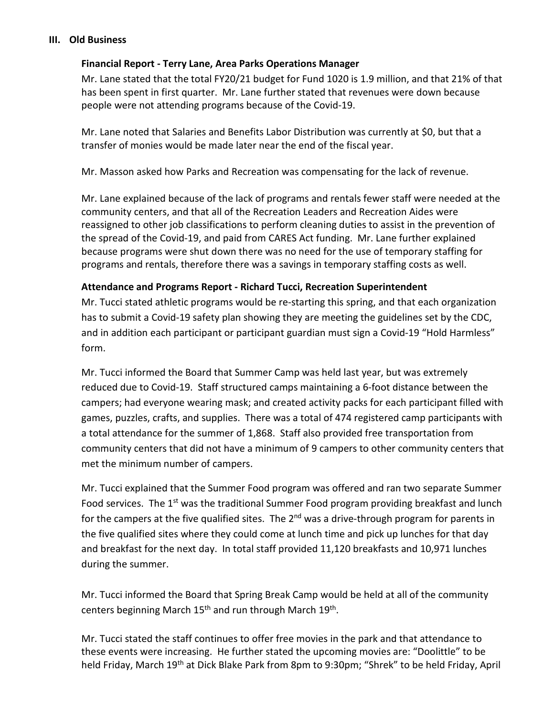#### **III. Old Business**

# **Financial Report - Terry Lane, Area Parks Operations Manager**

Mr. Lane stated that the total FY20/21 budget for Fund 1020 is 1.9 million, and that 21% of that has been spent in first quarter. Mr. Lane further stated that revenues were down because people were not attending programs because of the Covid-19.

Mr. Lane noted that Salaries and Benefits Labor Distribution was currently at \$0, but that a transfer of monies would be made later near the end of the fiscal year.

Mr. Masson asked how Parks and Recreation was compensating for the lack of revenue.

Mr. Lane explained because of the lack of programs and rentals fewer staff were needed at the community centers, and that all of the Recreation Leaders and Recreation Aides were reassigned to other job classifications to perform cleaning duties to assist in the prevention of the spread of the Covid-19, and paid from CARES Act funding. Mr. Lane further explained because programs were shut down there was no need for the use of temporary staffing for programs and rentals, therefore there was a savings in temporary staffing costs as well.

# **Attendance and Programs Report - Richard Tucci, Recreation Superintendent**

Mr. Tucci stated athletic programs would be re-starting this spring, and that each organization has to submit a Covid-19 safety plan showing they are meeting the guidelines set by the CDC, and in addition each participant or participant guardian must sign a Covid-19 "Hold Harmless" form.

Mr. Tucci informed the Board that Summer Camp was held last year, but was extremely reduced due to Covid-19. Staff structured camps maintaining a 6-foot distance between the campers; had everyone wearing mask; and created activity packs for each participant filled with games, puzzles, crafts, and supplies. There was a total of 474 registered camp participants with a total attendance for the summer of 1,868. Staff also provided free transportation from community centers that did not have a minimum of 9 campers to other community centers that met the minimum number of campers.

Mr. Tucci explained that the Summer Food program was offered and ran two separate Summer Food services. The  $1<sup>st</sup>$  was the traditional Summer Food program providing breakfast and lunch for the campers at the five qualified sites. The 2<sup>nd</sup> was a drive-through program for parents in the five qualified sites where they could come at lunch time and pick up lunches for that day and breakfast for the next day. In total staff provided 11,120 breakfasts and 10,971 lunches during the summer.

Mr. Tucci informed the Board that Spring Break Camp would be held at all of the community centers beginning March  $15<sup>th</sup>$  and run through March  $19<sup>th</sup>$ .

Mr. Tucci stated the staff continues to offer free movies in the park and that attendance to these events were increasing. He further stated the upcoming movies are: "Doolittle" to be held Friday, March 19<sup>th</sup> at Dick Blake Park from 8pm to 9:30pm; "Shrek" to be held Friday, April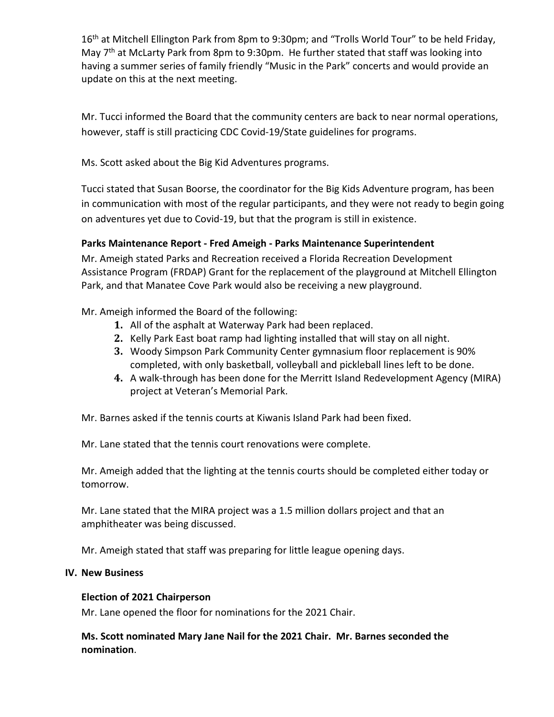16<sup>th</sup> at Mitchell Ellington Park from 8pm to 9:30pm; and "Trolls World Tour" to be held Friday, May 7<sup>th</sup> at McLarty Park from 8pm to 9:30pm. He further stated that staff was looking into having a summer series of family friendly "Music in the Park" concerts and would provide an update on this at the next meeting.

Mr. Tucci informed the Board that the community centers are back to near normal operations, however, staff is still practicing CDC Covid-19/State guidelines for programs.

Ms. Scott asked about the Big Kid Adventures programs.

Tucci stated that Susan Boorse, the coordinator for the Big Kids Adventure program, has been in communication with most of the regular participants, and they were not ready to begin going on adventures yet due to Covid-19, but that the program is still in existence.

# **Parks Maintenance Report - Fred Ameigh - Parks Maintenance Superintendent**

Mr. Ameigh stated Parks and Recreation received a Florida Recreation Development Assistance Program (FRDAP) Grant for the replacement of the playground at Mitchell Ellington Park, and that Manatee Cove Park would also be receiving a new playground.

Mr. Ameigh informed the Board of the following:

- **1.** All of the asphalt at Waterway Park had been replaced.
- **2.** Kelly Park East boat ramp had lighting installed that will stay on all night.
- **3.** Woody Simpson Park Community Center gymnasium floor replacement is 90% completed, with only basketball, volleyball and pickleball lines left to be done.
- **4.** A walk-through has been done for the Merritt Island Redevelopment Agency (MIRA) project at Veteran's Memorial Park.

Mr. Barnes asked if the tennis courts at Kiwanis Island Park had been fixed.

Mr. Lane stated that the tennis court renovations were complete.

Mr. Ameigh added that the lighting at the tennis courts should be completed either today or tomorrow.

Mr. Lane stated that the MIRA project was a 1.5 million dollars project and that an amphitheater was being discussed.

Mr. Ameigh stated that staff was preparing for little league opening days.

# **IV. New Business**

# **Election of 2021 Chairperson**

Mr. Lane opened the floor for nominations for the 2021 Chair.

**Ms. Scott nominated Mary Jane Nail for the 2021 Chair. Mr. Barnes seconded the nomination**.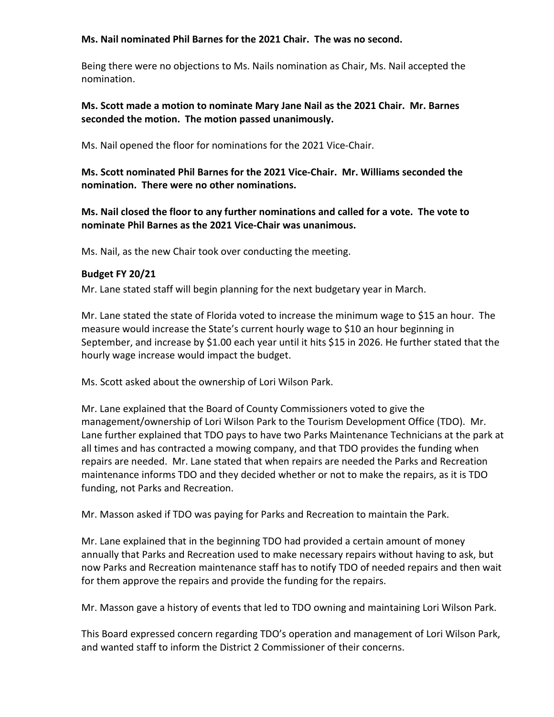#### **Ms. Nail nominated Phil Barnes for the 2021 Chair. The was no second.**

Being there were no objections to Ms. Nails nomination as Chair, Ms. Nail accepted the nomination.

### **Ms. Scott made a motion to nominate Mary Jane Nail as the 2021 Chair. Mr. Barnes seconded the motion. The motion passed unanimously.**

Ms. Nail opened the floor for nominations for the 2021 Vice-Chair.

**Ms. Scott nominated Phil Barnes for the 2021 Vice-Chair. Mr. Williams seconded the nomination. There were no other nominations.** 

**Ms. Nail closed the floor to any further nominations and called for a vote. The vote to nominate Phil Barnes as the 2021 Vice-Chair was unanimous.**

Ms. Nail, as the new Chair took over conducting the meeting.

#### **Budget FY 20/21**

Mr. Lane stated staff will begin planning for the next budgetary year in March.

Mr. Lane stated the state of Florida voted to increase the minimum wage to \$15 an hour. The measure would increase the State's current hourly wage to \$10 an hour beginning in September, and increase by \$1.00 each year until it hits \$15 in 2026. He further stated that the hourly wage increase would impact the budget.

Ms. Scott asked about the ownership of Lori Wilson Park.

Mr. Lane explained that the Board of County Commissioners voted to give the management/ownership of Lori Wilson Park to the Tourism Development Office (TDO). Mr. Lane further explained that TDO pays to have two Parks Maintenance Technicians at the park at all times and has contracted a mowing company, and that TDO provides the funding when repairs are needed. Mr. Lane stated that when repairs are needed the Parks and Recreation maintenance informs TDO and they decided whether or not to make the repairs, as it is TDO funding, not Parks and Recreation.

Mr. Masson asked if TDO was paying for Parks and Recreation to maintain the Park.

Mr. Lane explained that in the beginning TDO had provided a certain amount of money annually that Parks and Recreation used to make necessary repairs without having to ask, but now Parks and Recreation maintenance staff has to notify TDO of needed repairs and then wait for them approve the repairs and provide the funding for the repairs.

Mr. Masson gave a history of events that led to TDO owning and maintaining Lori Wilson Park.

This Board expressed concern regarding TDO's operation and management of Lori Wilson Park, and wanted staff to inform the District 2 Commissioner of their concerns.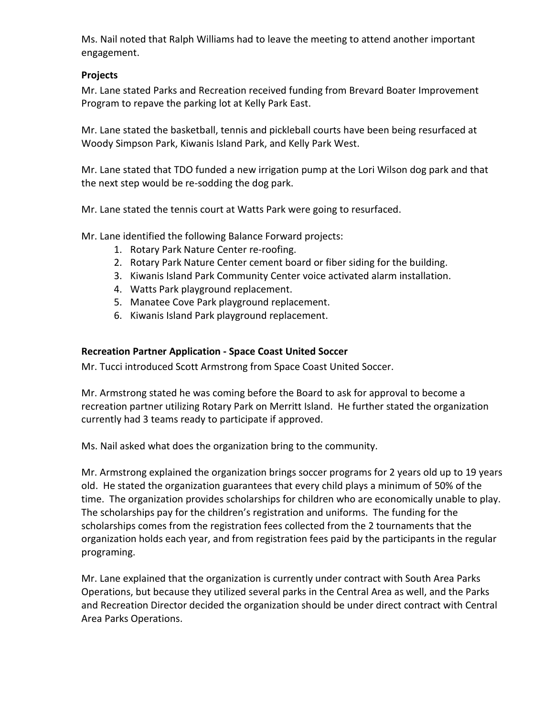Ms. Nail noted that Ralph Williams had to leave the meeting to attend another important engagement.

## **Projects**

Mr. Lane stated Parks and Recreation received funding from Brevard Boater Improvement Program to repave the parking lot at Kelly Park East.

Mr. Lane stated the basketball, tennis and pickleball courts have been being resurfaced at Woody Simpson Park, Kiwanis Island Park, and Kelly Park West.

Mr. Lane stated that TDO funded a new irrigation pump at the Lori Wilson dog park and that the next step would be re-sodding the dog park.

Mr. Lane stated the tennis court at Watts Park were going to resurfaced.

Mr. Lane identified the following Balance Forward projects:

- 1. Rotary Park Nature Center re-roofing.
- 2. Rotary Park Nature Center cement board or fiber siding for the building.
- 3. Kiwanis Island Park Community Center voice activated alarm installation.
- 4. Watts Park playground replacement.
- 5. Manatee Cove Park playground replacement.
- 6. Kiwanis Island Park playground replacement.

#### **Recreation Partner Application - Space Coast United Soccer**

Mr. Tucci introduced Scott Armstrong from Space Coast United Soccer.

Mr. Armstrong stated he was coming before the Board to ask for approval to become a recreation partner utilizing Rotary Park on Merritt Island. He further stated the organization currently had 3 teams ready to participate if approved.

Ms. Nail asked what does the organization bring to the community.

Mr. Armstrong explained the organization brings soccer programs for 2 years old up to 19 years old. He stated the organization guarantees that every child plays a minimum of 50% of the time. The organization provides scholarships for children who are economically unable to play. The scholarships pay for the children's registration and uniforms. The funding for the scholarships comes from the registration fees collected from the 2 tournaments that the organization holds each year, and from registration fees paid by the participants in the regular programing.

Mr. Lane explained that the organization is currently under contract with South Area Parks Operations, but because they utilized several parks in the Central Area as well, and the Parks and Recreation Director decided the organization should be under direct contract with Central Area Parks Operations.